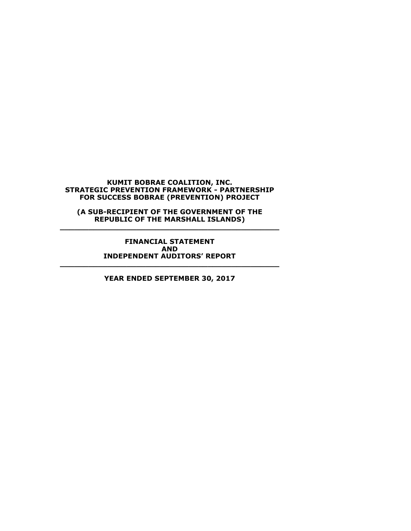**(A SUB-RECIPIENT OF THE GOVERNMENT OF THE REPUBLIC OF THE MARSHALL ISLANDS) \_\_\_\_\_\_\_\_\_\_\_\_\_\_\_\_\_\_\_\_\_\_\_\_\_\_\_\_\_\_\_\_\_\_\_\_\_\_\_\_\_\_\_\_\_\_**

> **FINANCIAL STATEMENT AND INDEPENDENT AUDITORS' REPORT**

**YEAR ENDED SEPTEMBER 30, 2017**

**\_\_\_\_\_\_\_\_\_\_\_\_\_\_\_\_\_\_\_\_\_\_\_\_\_\_\_\_\_\_\_\_\_\_\_\_\_\_\_\_\_\_\_\_\_\_**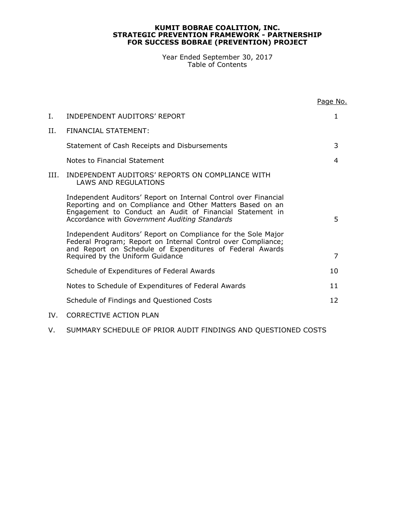Year Ended September 30, 2017 Table of Contents

|     |                                                                                                                                                                                                                                           | Page No. |
|-----|-------------------------------------------------------------------------------------------------------------------------------------------------------------------------------------------------------------------------------------------|----------|
| L.  | INDEPENDENT AUDITORS' REPORT                                                                                                                                                                                                              | 1        |
| II. | FINANCIAL STATEMENT:                                                                                                                                                                                                                      |          |
|     | Statement of Cash Receipts and Disbursements                                                                                                                                                                                              | 3        |
|     | Notes to Financial Statement                                                                                                                                                                                                              | 4        |
| HH. | INDEPENDENT AUDITORS' REPORTS ON COMPLIANCE WITH<br>LAWS AND REGULATIONS                                                                                                                                                                  |          |
|     | Independent Auditors' Report on Internal Control over Financial<br>Reporting and on Compliance and Other Matters Based on an<br>Engagement to Conduct an Audit of Financial Statement in<br>Accordance with Government Auditing Standards | 5        |
|     | Independent Auditors' Report on Compliance for the Sole Major<br>Federal Program; Report on Internal Control over Compliance;<br>and Report on Schedule of Expenditures of Federal Awards<br>Required by the Uniform Guidance             | 7        |
|     | Schedule of Expenditures of Federal Awards                                                                                                                                                                                                | 10       |
|     | Notes to Schedule of Expenditures of Federal Awards                                                                                                                                                                                       | 11       |
|     | Schedule of Findings and Questioned Costs                                                                                                                                                                                                 | 12       |
| IV. | <b>CORRECTIVE ACTION PLAN</b>                                                                                                                                                                                                             |          |

V. SUMMARY SCHEDULE OF PRIOR AUDIT FINDINGS AND QUESTIONED COSTS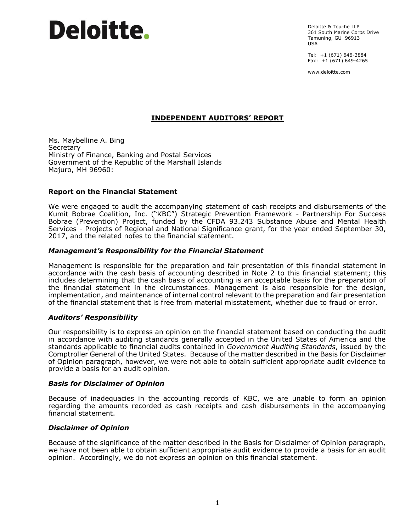Deloitte & Touche LLP 361 South Marine Corps Drive Tamuning, GU 96913  $IISA$ 

Tel: +1 (671) 646-3884 Fax:  $+1(671) 649-4265$ 

www.deloitte.com

# **INDEPENDENT AUDITORS' REPORT**

Ms. Maybelline A. Bing **Secretary** Ministry of Finance, Banking and Postal Services Government of the Republic of the Marshall Islands Majuro, MH 96960:

### **Report on the Financial Statement**

We were engaged to audit the accompanying statement of cash receipts and disbursements of the Kumit Bobrae Coalition, Inc. ("KBC") Strategic Prevention Framework - Partnership For Success Bobrae (Prevention) Project, funded by the CFDA 93.243 Substance Abuse and Mental Health Services - Projects of Regional and National Significance grant, for the year ended September 30, 2017, and the related notes to the financial statement.

### *Management's Responsibility for the Financial Statement*

Management is responsible for the preparation and fair presentation of this financial statement in accordance with the cash basis of accounting described in Note 2 to this financial statement; this includes determining that the cash basis of accounting is an acceptable basis for the preparation of the financial statement in the circumstances. Management is also responsible for the design, implementation, and maintenance of internal control relevant to the preparation and fair presentation of the financial statement that is free from material misstatement, whether due to fraud or error.

### *Auditors' Responsibility*

Our responsibility is to express an opinion on the financial statement based on conducting the audit in accordance with auditing standards generally accepted in the United States of America and the standards applicable to financial audits contained in *Government Auditing Standards*, issued by the Comptroller General of the United States. Because of the matter described in the Basis for Disclaimer of Opinion paragraph, however, we were not able to obtain sufficient appropriate audit evidence to provide a basis for an audit opinion.

### *Basis for Disclaimer of Opinion*

Because of inadequacies in the accounting records of KBC, we are unable to form an opinion regarding the amounts recorded as cash receipts and cash disbursements in the accompanying financial statement.

### *Disclaimer of Opinion*

Because of the significance of the matter described in the Basis for Disclaimer of Opinion paragraph, we have not been able to obtain sufficient appropriate audit evidence to provide a basis for an audit opinion. Accordingly, we do not express an opinion on this financial statement.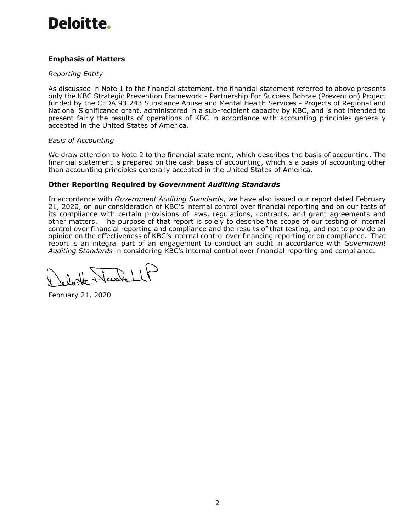# **Emphasis of Matters**

## *Reporting Entity*

As discussed in Note 1 to the financial statement, the financial statement referred to above presents only the KBC Strategic Prevention Framework - Partnership For Success Bobrae (Prevention) Project funded by the CFDA 93.243 Substance Abuse and Mental Health Services - Projects of Regional and National Significance grant, administered in a sub-recipient capacity by KBC, and is not intended to present fairly the results of operations of KBC in accordance with accounting principles generally accepted in the United States of America.

### *Basis of Accounting*

We draw attention to Note 2 to the financial statement, which describes the basis of accounting. The financial statement is prepared on the cash basis of accounting, which is a basis of accounting other than accounting principles generally accepted in the United States of America.

# **Other Reporting Required by** *Government Auditing Standards*

In accordance with *Government Auditing Standards*, we have also issued our report dated February 21, 2020, on our consideration of KBC's internal control over financial reporting and on our tests of its compliance with certain provisions of laws, regulations, contracts, and grant agreements and other matters. The purpose of that report is solely to describe the scope of our testing of internal control over financial reporting and compliance and the results of that testing, and not to provide an opinion on the effectiveness of KBC's internal control over financing reporting or on compliance. That report is an integral part of an engagement to conduct an audit in accordance with *Government Auditing Standards* in considering KBC's internal control over financial reporting and compliance.

oloite Nache

February 21, 2020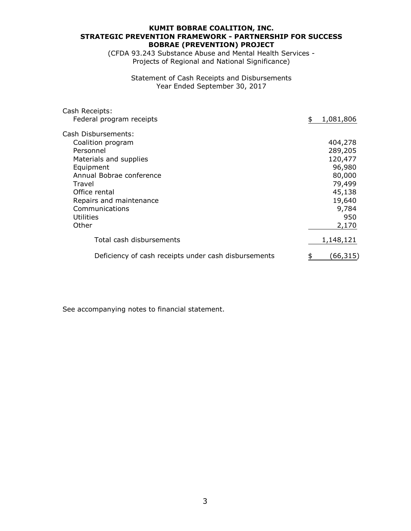### **KUMIT BOBRAE COALITION, INC. BOBRAE (PREVENTION) PROJECT STRATEGIC PREVENTION FRAMEWORK - PARTNERSHIP FOR SUCCESS**

(CFDA 93.243 Substance Abuse and Mental Health Services - Projects of Regional and National Significance)

### Year Ended September 30, 2017 Statement of Cash Receipts and Disbursements

| Cash Receipts:                                       |                 |
|------------------------------------------------------|-----------------|
| Federal program receipts                             | \$<br>1,081,806 |
| Cash Disbursements:                                  |                 |
| Coalition program                                    | 404,278         |
| Personnel                                            | 289,205         |
| Materials and supplies                               | 120,477         |
| Equipment                                            | 96,980          |
| Annual Bobrae conference                             | 80,000          |
| Travel                                               | 79,499          |
| Office rental                                        | 45,138          |
| Repairs and maintenance                              | 19,640          |
| Communications                                       | 9,784           |
| Utilities                                            | 950             |
| Other                                                | 2,170           |
| Total cash disbursements                             | 1,148,121       |
| Deficiency of cash receipts under cash disbursements | (66,315)        |
|                                                      |                 |

See accompanying notes to financial statement.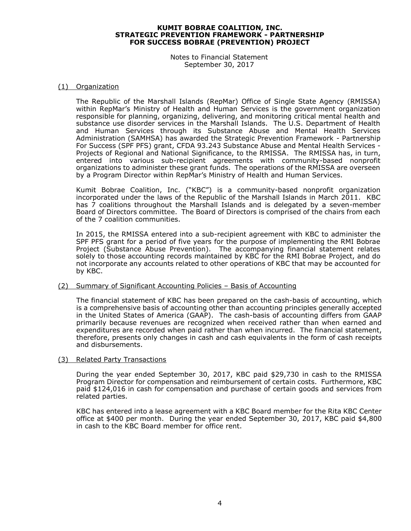Notes to Financial Statement September 30, 2017

### (1) Organization

The Republic of the Marshall Islands (RepMar) Office of Single State Agency (RMISSA) within RepMar's Ministry of Health and Human Services is the government organization responsible for planning, organizing, delivering, and monitoring critical mental health and substance use disorder services in the Marshall Islands. The U.S. Department of Health and Human Services through its Substance Abuse and Mental Health Services Administration (SAMHSA) has awarded the Strategic Prevention Framework - Partnership For Success (SPF PFS) grant, CFDA 93.243 Substance Abuse and Mental Health Services - Projects of Regional and National Significance, to the RMISSA. The RMISSA has, in turn, entered into various sub-recipient agreements with community-based nonprofit organizations to administer these grant funds. The operations of the RMISSA are overseen by a Program Director within RepMar's Ministry of Health and Human Services.

Kumit Bobrae Coalition, Inc. ("KBC") is a community-based nonprofit organization incorporated under the laws of the Republic of the Marshall Islands in March 2011. KBC has 7 coalitions throughout the Marshall Islands and is delegated by a seven-member Board of Directors committee. The Board of Directors is comprised of the chairs from each of the 7 coalition communities.

In 2015, the RMISSA entered into a sub-recipient agreement with KBC to administer the SPF PFS grant for a period of five years for the purpose of implementing the RMI Bobrae Project (Substance Abuse Prevention). The accompanying financial statement relates solely to those accounting records maintained by KBC for the RMI Bobrae Project, and do not incorporate any accounts related to other operations of KBC that may be accounted for by KBC.

### (2) Summary of Significant Accounting Policies – Basis of Accounting

The financial statement of KBC has been prepared on the cash-basis of accounting, which is a comprehensive basis of accounting other than accounting principles generally accepted in the United States of America (GAAP). The cash-basis of accounting differs from GAAP primarily because revenues are recognized when received rather than when earned and expenditures are recorded when paid rather than when incurred. The financial statement, therefore, presents only changes in cash and cash equivalents in the form of cash receipts and disbursements.

### (3) Related Party Transactions

During the year ended September 30, 2017, KBC paid \$29,730 in cash to the RMISSA Program Director for compensation and reimbursement of certain costs. Furthermore, KBC paid \$124,016 in cash for compensation and purchase of certain goods and services from related parties.

KBC has entered into a lease agreement with a KBC Board member for the Rita KBC Center office at \$400 per month. During the year ended September 30, 2017, KBC paid \$4,800 in cash to the KBC Board member for office rent.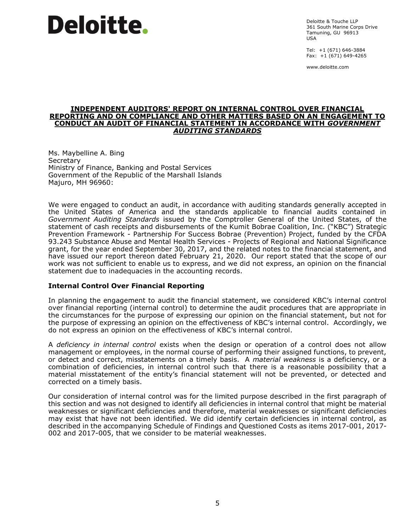Deloitte & Touche LLP 361 South Marine Corps Drive Tamuning, GU 96913 USA

Tel: +1 (671) 646-3884 Fax: +1 (671) 649-4265

www.deloitte.com

### **INDEPENDENT AUDITORS' REPORT ON INTERNAL CONTROL OVER FINANCIAL REPORTING AND ON COMPLIANCE AND OTHER MATTERS BASED ON AN ENGAGEMENT TO CONDUCT AN AUDIT OF FINANCIAL STATEMENT IN ACCORDANCE WITH** *GOVERNMENT AUDITING STANDARDS*

Ms. Maybelline A. Bing **Secretary** Ministry of Finance, Banking and Postal Services Government of the Republic of the Marshall Islands Majuro, MH 96960:

We were engaged to conduct an audit, in accordance with auditing standards generally accepted in the United States of America and the standards applicable to financial audits contained in *Government Auditing Standards* issued by the Comptroller General of the United States, of the statement of cash receipts and disbursements of the Kumit Bobrae Coalition, Inc. ("KBC") Strategic Prevention Framework - Partnership For Success Bobrae (Prevention) Project, funded by the CFDA 93.243 Substance Abuse and Mental Health Services - Projects of Regional and National Significance grant, for the year ended September 30, 2017, and the related notes to the financial statement, and have issued our report thereon dated February 21, 2020. Our report stated that the scope of our work was not sufficient to enable us to express, and we did not express, an opinion on the financial statement due to inadequacies in the accounting records.

### **Internal Control Over Financial Reporting**

In planning the engagement to audit the financial statement, we considered KBC's internal control over financial reporting (internal control) to determine the audit procedures that are appropriate in the circumstances for the purpose of expressing our opinion on the financial statement, but not for the purpose of expressing an opinion on the effectiveness of KBC's internal control. Accordingly, we do not express an opinion on the effectiveness of KBC's internal control.

A *deficiency in internal control* exists when the design or operation of a control does not allow management or employees, in the normal course of performing their assigned functions, to prevent, or detect and correct, misstatements on a timely basis. A *material weakness* is a deficiency, or a combination of deficiencies, in internal control such that there is a reasonable possibility that a material misstatement of the entity's financial statement will not be prevented, or detected and corrected on a timely basis.

Our consideration of internal control was for the limited purpose described in the first paragraph of this section and was not designed to identify all deficiencies in internal control that might be material weaknesses or significant deficiencies and therefore, material weaknesses or significant deficiencies may exist that have not been identified. We did identify certain deficiencies in internal control, as described in the accompanying Schedule of Findings and Questioned Costs as items 2017-001, 2017- 002 and 2017-005, that we consider to be material weaknesses.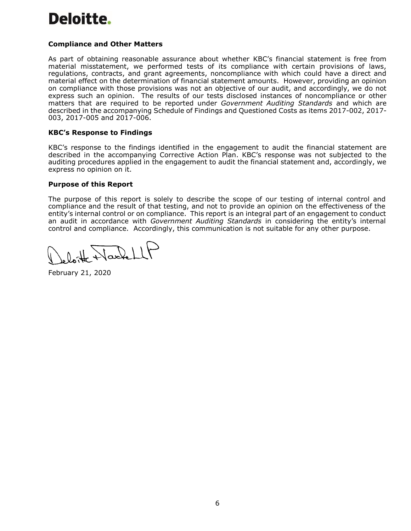## **Compliance and Other Matters**

As part of obtaining reasonable assurance about whether KBC's financial statement is free from material misstatement, we performed tests of its compliance with certain provisions of laws, regulations, contracts, and grant agreements, noncompliance with which could have a direct and material effect on the determination of financial statement amounts. However, providing an opinion on compliance with those provisions was not an objective of our audit, and accordingly, we do not express such an opinion. The results of our tests disclosed instances of noncompliance or other matters that are required to be reported under *Government Auditing Standards* and which are described in the accompanying Schedule of Findings and Questioned Costs as items 2017-002, 2017- 003, 2017-005 and 2017-006.

### **KBC's Response to Findings**

KBC's response to the findings identified in the engagement to audit the financial statement are described in the accompanying Corrective Action Plan. KBC's response was not subjected to the auditing procedures applied in the engagement to audit the financial statement and, accordingly, we express no opinion on it.

### **Purpose of this Report**

The purpose of this report is solely to describe the scope of our testing of internal control and compliance and the result of that testing, and not to provide an opinion on the effectiveness of the entity's internal control or on compliance. This report is an integral part of an engagement to conduct an audit in accordance with *Government Auditing Standards* in considering the entity's internal control and compliance. Accordingly, this communication is not suitable for any other purpose.

February 21, 2020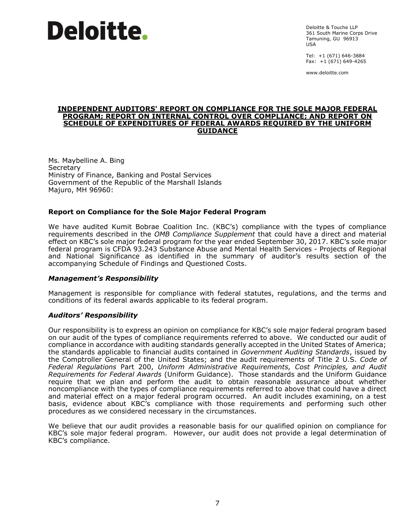

Deloitte & Touche LLP 361 South Marine Corps Drive Tamuning, GU 96913 USA

Tel: +1 (671) 646-3884 Fax: +1 (671) 649-4265

www.deloitte.com

### **INDEPENDENT AUDITORS' REPORT ON COMPLIANCE FOR THE SOLE MAJOR FEDERAL PROGRAM; REPORT ON INTERNAL CONTROL OVER COMPLIANCE; AND REPORT ON SCHEDULE OF EXPENDITURES OF FEDERAL AWARDS REQUIRED BY THE UNIFORM GUIDANCE**

Ms. Maybelline A. Bing **Secretary** Ministry of Finance, Banking and Postal Services Government of the Republic of the Marshall Islands Majuro, MH 96960:

### **Report on Compliance for the Sole Major Federal Program**

We have audited Kumit Bobrae Coalition Inc. (KBC's) compliance with the types of compliance requirements described in the *OMB Compliance Supplement* that could have a direct and material effect on KBC's sole major federal program for the year ended September 30, 2017. KBC's sole major federal program is CFDA 93.243 Substance Abuse and Mental Health Services - Projects of Regional and National Significance as identified in the summary of auditor's results section of the accompanying Schedule of Findings and Questioned Costs.

### *Management's Responsibility*

Management is responsible for compliance with federal statutes, regulations, and the terms and conditions of its federal awards applicable to its federal program.

### *Auditors' Responsibility*

Our responsibility is to express an opinion on compliance for KBC's sole major federal program based on our audit of the types of compliance requirements referred to above. We conducted our audit of compliance in accordance with auditing standards generally accepted in the United States of America; the standards applicable to financial audits contained in *Government Auditing Standards*, issued by the Comptroller General of the United States; and the audit requirements of Title 2 U.S. *Code of Federal Regulations* Part 200, *Uniform Administrative Requirements, Cost Principles, and Audit Requirements for Federal Awards* (Uniform Guidance). Those standards and the Uniform Guidance require that we plan and perform the audit to obtain reasonable assurance about whether noncompliance with the types of compliance requirements referred to above that could have a direct and material effect on a major federal program occurred. An audit includes examining, on a test basis, evidence about KBC's compliance with those requirements and performing such other procedures as we considered necessary in the circumstances.

We believe that our audit provides a reasonable basis for our qualified opinion on compliance for KBC's sole major federal program. However, our audit does not provide a legal determination of KBC's compliance.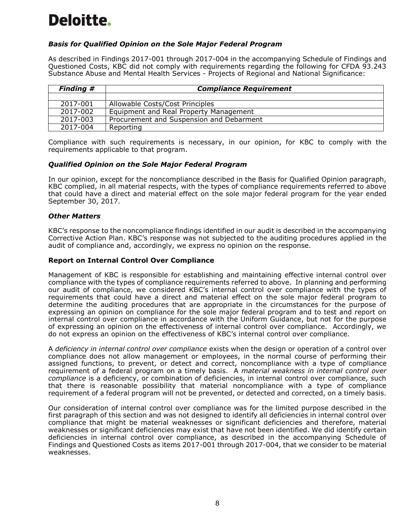## *Basis for Qualified Opinion on the Sole Major Federal Program*

As described in Findings 2017-001 through 2017-004 in the accompanying Schedule of Findings and Questioned Costs, KBC did not comply with requirements regarding the following for CFDA 93.243 Substance Abuse and Mental Health Services - Projects of Regional and National Significance:

| <b>Finding #</b> | <b>Compliance Requirement</b>            |
|------------------|------------------------------------------|
|                  |                                          |
| 2017-001         | Allowable Costs/Cost Principles          |
| 2017-002         | Equipment and Real Property Management   |
| 2017-003         | Procurement and Suspension and Debarment |
| 2017-004         | Reporting                                |

Compliance with such requirements is necessary, in our opinion, for KBC to comply with the requirements applicable to that program.

### *Qualified Opinion on the Sole Major Federal Program*

In our opinion, except for the noncompliance described in the Basis for Qualified Opinion paragraph, KBC complied, in all material respects, with the types of compliance requirements referred to above that could have a direct and material effect on the sole major federal program for the year ended September 30, 2017.

### *Other Matters*

KBC's response to the noncompliance findings identified in our audit is described in the accompanying Corrective Action Plan. KBC's response was not subjected to the auditing procedures applied in the audit of compliance and, accordingly, we express no opinion on the response.

### **Report on Internal Control Over Compliance**

Management of KBC is responsible for establishing and maintaining effective internal control over compliance with the types of compliance requirements referred to above. In planning and performing our audit of compliance, we considered KBC's internal control over compliance with the types of requirements that could have a direct and material effect on the sole major federal program to determine the auditing procedures that are appropriate in the circumstances for the purpose of expressing an opinion on compliance for the sole major federal program and to test and report on internal control over compliance in accordance with the Uniform Guidance, but not for the purpose of expressing an opinion on the effectiveness of internal control over compliance. Accordingly, we do not express an opinion on the effectiveness of KBC's internal control over compliance.

A *deficiency in internal control over compliance* exists when the design or operation of a control over compliance does not allow management or employees, in the normal course of performing their assigned functions, to prevent, or detect and correct, noncompliance with a type of compliance requirement of a federal program on a timely basis. A *material weakness in internal control over compliance* is a deficiency, or combination of deficiencies, in internal control over compliance, such that there is reasonable possibility that material noncompliance with a type of compliance requirement of a federal program will not be prevented, or detected and corrected, on a timely basis.

Our consideration of internal control over compliance was for the limited purpose described in the first paragraph of this section and was not designed to identify all deficiencies in internal control over compliance that might be material weaknesses or significant deficiencies and therefore, material weaknesses or significant deficiencies may exist that have not been identified. We did identify certain deficiencies in internal control over compliance, as described in the accompanying Schedule of Findings and Questioned Costs as items 2017-001 through 2017-004, that we consider to be material weaknesses.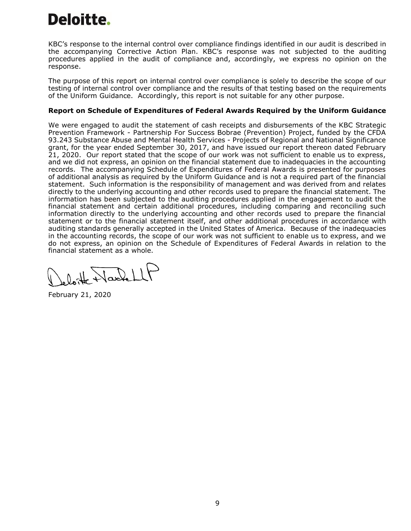KBC's response to the internal control over compliance findings identified in our audit is described in the accompanying Corrective Action Plan. KBC's response was not subjected to the auditing procedures applied in the audit of compliance and, accordingly, we express no opinion on the response.

The purpose of this report on internal control over compliance is solely to describe the scope of our testing of internal control over compliance and the results of that testing based on the requirements of the Uniform Guidance. Accordingly, this report is not suitable for any other purpose.

## **Report on Schedule of Expenditures of Federal Awards Required by the Uniform Guidance**

We were engaged to audit the statement of cash receipts and disbursements of the KBC Strategic Prevention Framework - Partnership For Success Bobrae (Prevention) Project, funded by the CFDA 93.243 Substance Abuse and Mental Health Services - Projects of Regional and National Significance grant, for the year ended September 30, 2017, and have issued our report thereon dated February 21, 2020. Our report stated that the scope of our work was not sufficient to enable us to express, and we did not express, an opinion on the financial statement due to inadequacies in the accounting records. The accompanying Schedule of Expenditures of Federal Awards is presented for purposes of additional analysis as required by the Uniform Guidance and is not a required part of the financial statement. Such information is the responsibility of management and was derived from and relates directly to the underlying accounting and other records used to prepare the financial statement. The information has been subjected to the auditing procedures applied in the engagement to audit the financial statement and certain additional procedures, including comparing and reconciling such information directly to the underlying accounting and other records used to prepare the financial statement or to the financial statement itself, and other additional procedures in accordance with auditing standards generally accepted in the United States of America. Because of the inadequacies in the accounting records, the scope of our work was not sufficient to enable us to express, and we do not express, an opinion on the Schedule of Expenditures of Federal Awards in relation to the financial statement as a whole.

loite Nachel

February 21, 2020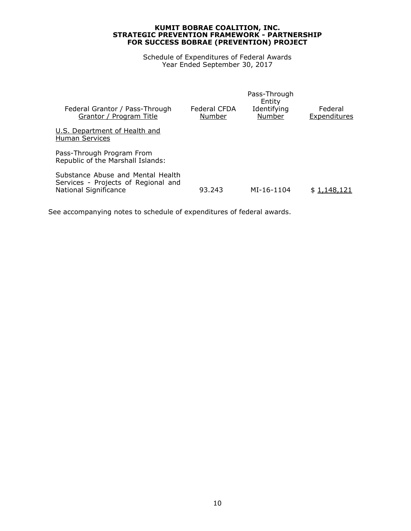Schedule of Expenditures of Federal Awards Year Ended September 30, 2017

| <b>Federal CFDA</b><br>Number | Pass-Through<br>Entity<br>Identifying<br>Number | Federal<br>Expenditures |
|-------------------------------|-------------------------------------------------|-------------------------|
|                               |                                                 |                         |
|                               |                                                 |                         |
| 93.243                        | MI-16-1104                                      | \$1,148,121             |
|                               |                                                 |                         |

See accompanying notes to schedule of expenditures of federal awards.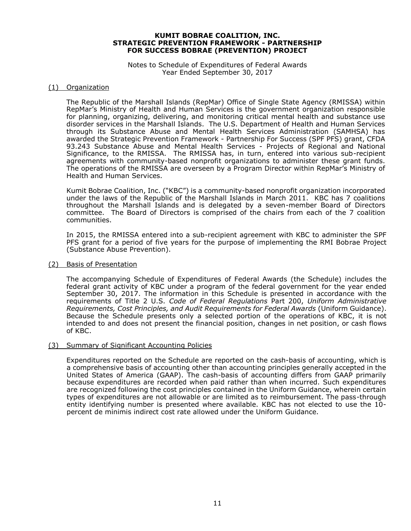### Notes to Schedule of Expenditures of Federal Awards Year Ended September 30, 2017

### (1) Organization

The Republic of the Marshall Islands (RepMar) Office of Single State Agency (RMISSA) within RepMar's Ministry of Health and Human Services is the government organization responsible for planning, organizing, delivering, and monitoring critical mental health and substance use disorder services in the Marshall Islands. The U.S. Department of Health and Human Services through its Substance Abuse and Mental Health Services Administration (SAMHSA) has awarded the Strategic Prevention Framework - Partnership For Success (SPF PFS) grant, CFDA 93.243 Substance Abuse and Mental Health Services - Projects of Regional and National Significance, to the RMISSA. The RMISSA has, in turn, entered into various sub-recipient agreements with community-based nonprofit organizations to administer these grant funds. The operations of the RMISSA are overseen by a Program Director within RepMar's Ministry of Health and Human Services.

Kumit Bobrae Coalition, Inc. ("KBC") is a community-based nonprofit organization incorporated under the laws of the Republic of the Marshall Islands in March 2011. KBC has 7 coalitions throughout the Marshall Islands and is delegated by a seven-member Board of Directors committee. The Board of Directors is comprised of the chairs from each of the 7 coalition communities.

In 2015, the RMISSA entered into a sub-recipient agreement with KBC to administer the SPF PFS grant for a period of five years for the purpose of implementing the RMI Bobrae Project (Substance Abuse Prevention).

### (2) Basis of Presentation

The accompanying Schedule of Expenditures of Federal Awards (the Schedule) includes the federal grant activity of KBC under a program of the federal government for the year ended September 30, 2017. The information in this Schedule is presented in accordance with the requirements of Title 2 U.S. *Code of Federal Regulations* Part 200, *Uniform Administrative Requirements, Cost Principles, and Audit Requirements for Federal Awards* (Uniform Guidance). Because the Schedule presents only a selected portion of the operations of KBC, it is not intended to and does not present the financial position, changes in net position, or cash flows of KBC.

### (3) Summary of Significant Accounting Policies

Expenditures reported on the Schedule are reported on the cash-basis of accounting, which is a comprehensive basis of accounting other than accounting principles generally accepted in the United States of America (GAAP). The cash-basis of accounting differs from GAAP primarily because expenditures are recorded when paid rather than when incurred. Such expenditures are recognized following the cost principles contained in the Uniform Guidance, wherein certain types of expenditures are not allowable or are limited as to reimbursement. The pass-through entity identifying number is presented where available. KBC has not elected to use the 10 percent de minimis indirect cost rate allowed under the Uniform Guidance.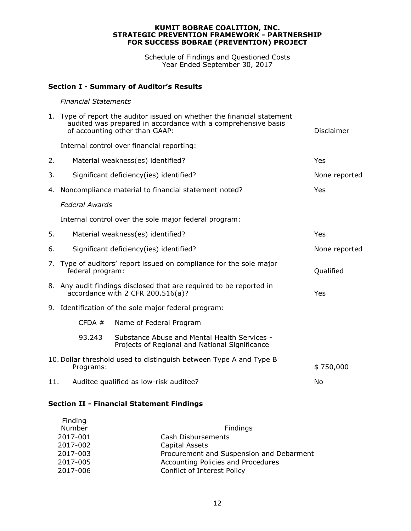Schedule of Findings and Questioned Costs Year Ended September 30, 2017

# **Section I - Summary of Auditor's Results**

### *Financial Statements*

|    | 1. Type of report the auditor issued on whether the financial statement<br>audited was prepared in accordance with a comprehensive basis<br>of accounting other than GAAP: | <b>Disclaimer</b> |  |  |  |  |  |
|----|----------------------------------------------------------------------------------------------------------------------------------------------------------------------------|-------------------|--|--|--|--|--|
|    | Internal control over financial reporting:                                                                                                                                 |                   |  |  |  |  |  |
| 2. | Material weakness(es) identified?                                                                                                                                          | Yes               |  |  |  |  |  |
| 3. | Significant deficiency(ies) identified?                                                                                                                                    | None reported     |  |  |  |  |  |
| 4. | Noncompliance material to financial statement noted?                                                                                                                       | Yes               |  |  |  |  |  |
|    | <b>Federal Awards</b>                                                                                                                                                      |                   |  |  |  |  |  |
|    | Internal control over the sole major federal program:                                                                                                                      |                   |  |  |  |  |  |
| 5. | Material weakness(es) identified?                                                                                                                                          | Yes               |  |  |  |  |  |
| 6. | Significant deficiency(ies) identified?<br>None reported                                                                                                                   |                   |  |  |  |  |  |
| 7. | Type of auditors' report issued on compliance for the sole major<br>federal program:<br>Qualified                                                                          |                   |  |  |  |  |  |
|    | 8. Any audit findings disclosed that are required to be reported in<br>accordance with 2 CFR 200.516(a)?<br>Yes                                                            |                   |  |  |  |  |  |
|    | 9. Identification of the sole major federal program:                                                                                                                       |                   |  |  |  |  |  |
|    | CFDA#<br>Name of Federal Program                                                                                                                                           |                   |  |  |  |  |  |
|    | Substance Abuse and Mental Health Services -<br>93.243<br>Projects of Regional and National Significance                                                                   |                   |  |  |  |  |  |
|    | 10. Dollar threshold used to distinguish between Type A and Type B<br>Programs:                                                                                            | \$750,000         |  |  |  |  |  |
|    | Auditee qualified as low-risk auditee?<br>11.<br>No                                                                                                                        |                   |  |  |  |  |  |

# **Section II - Financial Statement Findings**

| Finding<br>Number | Findings                                 |
|-------------------|------------------------------------------|
| 2017-001          | Cash Disbursements                       |
| 2017-002          | Capital Assets                           |
| 2017-003          | Procurement and Suspension and Debarment |
| 2017-005          | Accounting Policies and Procedures       |
| 2017-006          | Conflict of Interest Policy              |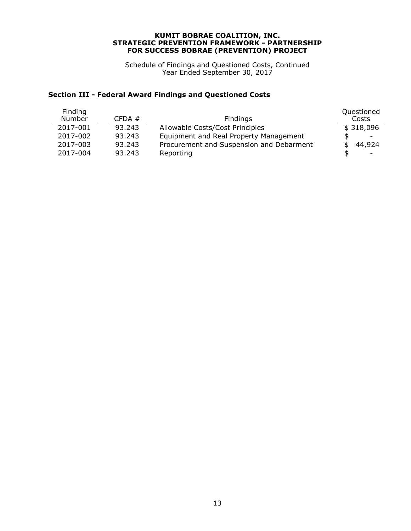Schedule of Findings and Questioned Costs, Continued Year Ended September 30, 2017

# **Section III - Federal Award Findings and Questioned Costs**

| Finding<br>Number | CFDA#  | Findings                                 | Questioned<br>Costs |
|-------------------|--------|------------------------------------------|---------------------|
| 2017-001          | 93.243 | Allowable Costs/Cost Principles          | \$318,096           |
| 2017-002          | 93.243 | Equipment and Real Property Management   | -                   |
| 2017-003          | 93.243 | Procurement and Suspension and Debarment | 44,924              |
| 2017-004          | 93.243 | Reporting                                |                     |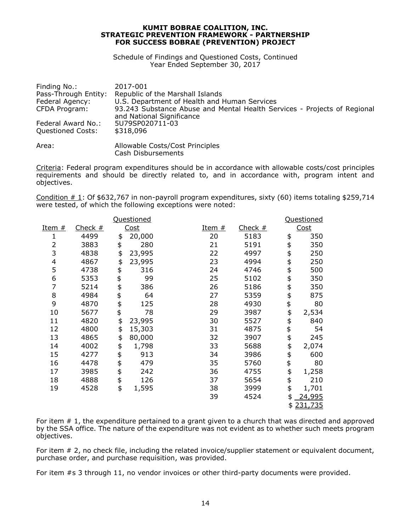Schedule of Findings and Questioned Costs, Continued Year Ended September 30, 2017

| Finding No.:<br>Pass-Through Entity: | 2017-001<br>Republic of the Marshall Islands                             |
|--------------------------------------|--------------------------------------------------------------------------|
| Federal Agency:                      | U.S. Department of Health and Human Services                             |
| CFDA Program:                        | 93.243 Substance Abuse and Mental Health Services - Projects of Regional |
|                                      | and National Significance                                                |
| Federal Award No.:                   | 5U79SP020711-03                                                          |
| <b>Questioned Costs:</b>             | \$318,096                                                                |
| Area:                                | Allowable Costs/Cost Principles<br>Cash Disbursements                    |

Criteria: Federal program expenditures should be in accordance with allowable costs/cost principles requirements and should be directly related to, and in accordance with, program intent and objectives.

Condition # 1: Of \$632,767 in non-payroll program expenditures, sixty (60) items totaling \$259,714 were tested, of which the following exceptions were noted:

|                |           | <b>Questioned</b> |               |           | <b>Questioned</b> |
|----------------|-----------|-------------------|---------------|-----------|-------------------|
| <u>Item #</u>  | Check $#$ | Cost              | <u>Item #</u> | Check $#$ | Cost              |
| 1              | 4499      | \$<br>20,000      | 20            | 5183      | \$<br>350         |
| $\overline{2}$ | 3883      | \$<br>280         | 21            | 5191      | \$<br>350         |
| 3              | 4838      | \$<br>23,995      | 22            | 4997      | \$<br>250         |
| 4              | 4867      | \$<br>23,995      | 23            | 4994      | \$<br>250         |
| 5              | 4738      | \$<br>316         | 24            | 4746      | \$<br>500         |
| 6              | 5353      | \$<br>99          | 25            | 5102      | \$<br>350         |
| 7              | 5214      | \$<br>386         | 26            | 5186      | \$<br>350         |
| 8              | 4984      | \$<br>64          | 27            | 5359      | \$<br>875         |
| 9              | 4870      | \$<br>125         | 28            | 4930      | \$<br>80          |
| 10             | 5677      | \$<br>78          | 29            | 3987      | \$<br>2,534       |
| 11             | 4820      | \$<br>23,995      | 30            | 5527      | \$<br>840         |
| 12             | 4800      | \$<br>15,303      | 31            | 4875      | \$<br>54          |
| 13             | 4865      | \$<br>80,000      | 32            | 3907      | \$<br>245         |
| 14             | 4002      | \$<br>1,798       | 33            | 5688      | \$<br>2,074       |
| 15             | 4277      | \$<br>913         | 34            | 3986      | \$<br>600         |
| 16             | 4478      | \$<br>479         | 35            | 5760      | \$<br>80          |
| 17             | 3985      | \$<br>242         | 36            | 4755      | \$<br>1,258       |
| 18             | 4888      | \$<br>126         | 37            | 5654      | \$<br>210         |
| 19             | 4528      | \$<br>1,595       | 38            | 3999      | \$<br>1,701       |
|                |           |                   | 39            | 4524      | \$<br>24,995      |
|                |           |                   |               |           | \$231,735         |

For item # 1, the expenditure pertained to a grant given to a church that was directed and approved by the SSA office. The nature of the expenditure was not evident as to whether such meets program objectives.

For item # 2, no check file, including the related invoice/supplier statement or equivalent document, purchase order, and purchase requisition, was provided.

For item #s 3 through 11, no vendor invoices or other third-party documents were provided.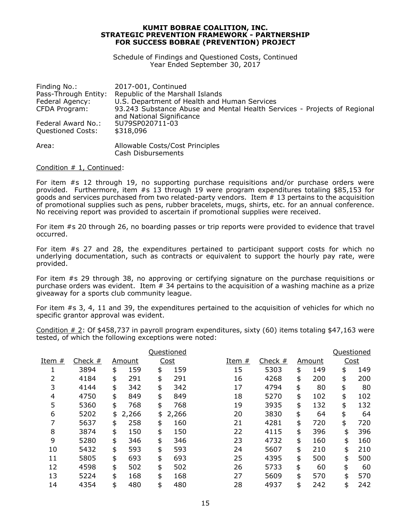Schedule of Findings and Questioned Costs, Continued Year Ended September 30, 2017

| Finding No.:             | 2017-001, Continued                                                      |
|--------------------------|--------------------------------------------------------------------------|
| Pass-Through Entity:     | Republic of the Marshall Islands                                         |
| Federal Agency:          | U.S. Department of Health and Human Services                             |
| CFDA Program:            | 93.243 Substance Abuse and Mental Health Services - Projects of Regional |
|                          | and National Significance                                                |
| Federal Award No.:       | 5U79SP020711-03                                                          |
| <b>Questioned Costs:</b> | \$318,096                                                                |
| Area:                    | Allowable Costs/Cost Principles                                          |
|                          | Cash Disbursements                                                       |

### Condition # 1, Continued:

For item #s 12 through 19, no supporting purchase requisitions and/or purchase orders were provided. Furthermore, item #s 13 through 19 were program expenditures totaling \$85,153 for goods and services purchased from two related-party vendors. Item  $# 13$  pertains to the acquisition of promotional supplies such as pens, rubber bracelets, mugs, shirts, etc. for an annual conference. No receiving report was provided to ascertain if promotional supplies were received.

For item #s 20 through 26, no boarding passes or trip reports were provided to evidence that travel occurred.

For item #s 27 and 28, the expenditures pertained to participant support costs for which no underlying documentation, such as contracts or equivalent to support the hourly pay rate, were provided.

For item #s 29 through 38, no approving or certifying signature on the purchase requisitions or purchase orders was evident. Item  $# 34$  pertains to the acquisition of a washing machine as a prize giveaway for a sports club community league.

For item #s 3, 4, 11 and 39, the expenditures pertained to the acquisition of vehicles for which no specific grantor approval was evident.

Condition # 2: Of \$458,737 in payroll program expenditures, sixty (60) items totaling \$47,163 were tested, of which the following exceptions were noted:

|                |           |             | Questioned  |          |           |           | Questioned |
|----------------|-----------|-------------|-------------|----------|-----------|-----------|------------|
| Item $#$       | Check $#$ | Amount      | Cost        | Item $#$ | Check $#$ | Amount    | Cost       |
|                | 3894      | \$<br>159   | \$<br>159   | 15       | 5303      | \$<br>149 | \$<br>149  |
| $\overline{2}$ | 4184      | \$<br>291   | \$<br>291   | 16       | 4268      | \$<br>200 | \$<br>200  |
| 3              | 4144      | \$<br>342   | \$<br>342   | 17       | 4794      | \$<br>80  | \$<br>80   |
| 4              | 4750      | \$<br>849   | \$<br>849   | 18       | 5270      | \$<br>102 | \$<br>102  |
| 5              | 5360      | \$<br>768   | \$<br>768   | 19       | 3935      | \$<br>132 | \$<br>132  |
| 6              | 5202      | \$<br>2,266 | \$<br>2,266 | 20       | 3830      | \$<br>64  | \$<br>64   |
|                | 5637      | \$<br>258   | \$<br>160   | 21       | 4281      | \$<br>720 | \$<br>720  |
| 8              | 3874      | \$<br>150   | \$<br>150   | 22       | 4115      | \$<br>396 | \$<br>396  |
| 9              | 5280      | \$<br>346   | \$<br>346   | 23       | 4732      | \$<br>160 | \$<br>160  |
| 10             | 5432      | \$<br>593   | \$<br>593   | 24       | 5607      | \$<br>210 | \$<br>210  |
| 11             | 5805      | \$<br>693   | \$<br>693   | 25       | 4395      | \$<br>500 | \$<br>500  |
| 12             | 4598      | \$<br>502   | \$<br>502   | 26       | 5733      | \$<br>60  | \$<br>60   |
| 13             | 5224      | \$<br>168   | \$<br>168   | 27       | 5609      | \$<br>570 | \$<br>570  |
| 14             | 4354      | \$<br>480   | \$<br>480   | 28       | 4937      | \$<br>242 | \$<br>242  |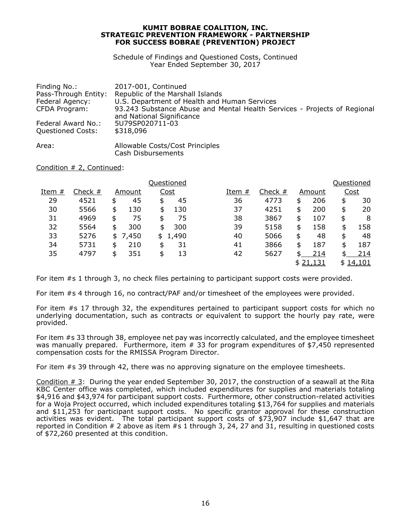### Schedule of Findings and Questioned Costs, Continued Year Ended September 30, 2017

| Finding No.:         | 2017-001, Continued                                                                                   |
|----------------------|-------------------------------------------------------------------------------------------------------|
| Pass-Through Entity: | Republic of the Marshall Islands                                                                      |
| Federal Agency:      | U.S. Department of Health and Human Services                                                          |
| CFDA Program:        | 93.243 Substance Abuse and Mental Health Services - Projects of Regional<br>and National Significance |
| Federal Award No.:   | 5U79SP020711-03                                                                                       |
| Questioned Costs:    | \$318,096                                                                                             |
| Area:                | Allowable Costs/Cost Principles                                                                       |

Cash Disbursements

### Condition # 2, Continued:

|          |           |             | Questioned  |        |         |           | Questioned |
|----------|-----------|-------------|-------------|--------|---------|-----------|------------|
| Item $#$ | Check $#$ | Amount      | Cost        | Item # | Check # | Amount    | Cost       |
| 29       | 4521      | \$<br>45    | \$<br>45    | 36     | 4773    | \$<br>206 | \$<br>30   |
| 30       | 5566      | \$<br>130   | \$<br>130   | 37     | 4251    | \$<br>200 | \$<br>20   |
| 31       | 4969      | \$<br>75    | \$<br>75    | 38     | 3867    | \$<br>107 | \$<br>8    |
| 32       | 5564      | \$<br>300   | \$<br>300   | 39     | 5158    | \$<br>158 | \$<br>158  |
| 33       | 5276      | \$<br>7,450 | \$<br>1,490 | 40     | 5066    | \$<br>48  | \$<br>48   |
| 34       | 5731      | \$<br>210   | \$<br>31    | 41     | 3866    | \$<br>187 | \$<br>187  |
| 35       | 4797      | \$<br>351   | \$<br>13    | 42     | 5627    | \$<br>214 | \$<br>214  |
|          |           |             |             |        |         | \$21,131  | \$14,101   |

For item #s 1 through 3, no check files pertaining to participant support costs were provided.

For item #s 4 through 16, no contract/PAF and/or timesheet of the employees were provided.

For item #s 17 through 32, the expenditures pertained to participant support costs for which no underlying documentation, such as contracts or equivalent to support the hourly pay rate, were provided.

For item #s 33 through 38, employee net pay was incorrectly calculated, and the employee timesheet was manually prepared. Furthermore, item  $# 33$  for program expenditures of \$7,450 represented compensation costs for the RMISSA Program Director.

For item #s 39 through 42, there was no approving signature on the employee timesheets.

Condition # 3: During the year ended September 30, 2017, the construction of a seawall at the Rita KBC Center office was completed, which included expenditures for supplies and materials totaling \$4,916 and \$43,974 for participant support costs. Furthermore, other construction-related activities for a Woja Project occurred, which included expenditures totaling \$13,764 for supplies and materials and \$11,253 for participant support costs. No specific grantor approval for these construction activities was evident. The total participant support costs of \$73,907 include \$1,647 that are reported in Condition  $\#$  2 above as item  $\#$ s 1 through 3, 24, 27 and 31, resulting in questioned costs of \$72,260 presented at this condition.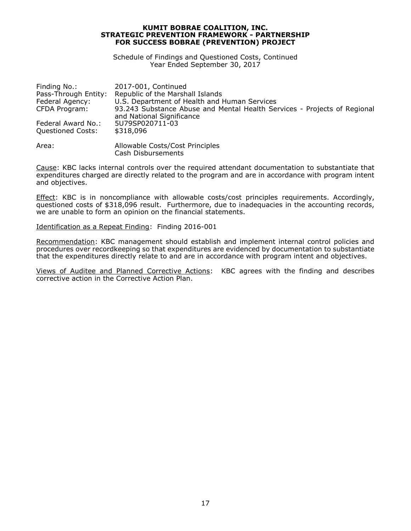Schedule of Findings and Questioned Costs, Continued Year Ended September 30, 2017

| Finding No.:             | 2017-001, Continued                                                      |
|--------------------------|--------------------------------------------------------------------------|
| Pass-Through Entity:     | Republic of the Marshall Islands                                         |
| Federal Agency:          | U.S. Department of Health and Human Services                             |
| CFDA Program:            | 93.243 Substance Abuse and Mental Health Services - Projects of Regional |
|                          | and National Significance                                                |
| Federal Award No.:       | 5U79SP020711-03                                                          |
| <b>Questioned Costs:</b> | \$318,096                                                                |
| Area:                    | Allowable Costs/Cost Principles<br>Cash Disbursements                    |

Cause: KBC lacks internal controls over the required attendant documentation to substantiate that expenditures charged are directly related to the program and are in accordance with program intent and objectives.

Effect: KBC is in noncompliance with allowable costs/cost principles requirements. Accordingly, questioned costs of \$318,096 result. Furthermore, due to inadequacies in the accounting records, we are unable to form an opinion on the financial statements.

Identification as a Repeat Finding: Finding 2016-001

Recommendation: KBC management should establish and implement internal control policies and procedures over recordkeeping so that expenditures are evidenced by documentation to substantiate that the expenditures directly relate to and are in accordance with program intent and objectives.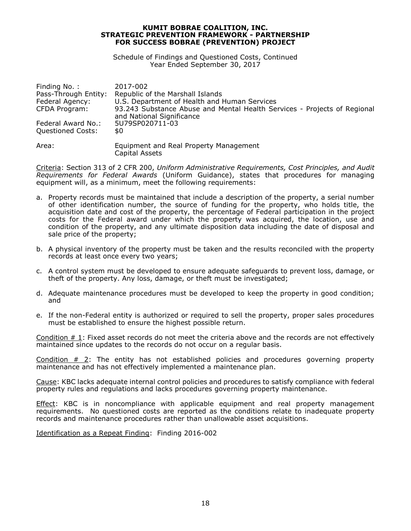Schedule of Findings and Questioned Costs, Continued Year Ended September 30, 2017

| Finding No.:             | 2017-002                                                                                              |
|--------------------------|-------------------------------------------------------------------------------------------------------|
| Pass-Through Entity:     | Republic of the Marshall Islands                                                                      |
| Federal Agency:          | U.S. Department of Health and Human Services                                                          |
| CFDA Program:            | 93.243 Substance Abuse and Mental Health Services - Projects of Regional<br>and National Significance |
| Federal Award No.:       | 5U79SP020711-03                                                                                       |
| <b>Questioned Costs:</b> | \$0                                                                                                   |
| Area:                    | Equipment and Real Property Management<br>Capital Assets                                              |

Criteria: Section 313 of 2 CFR 200, *Uniform Administrative Requirements, Cost Principles, and Audit Requirements for Federal Awards* (Uniform Guidance), states that procedures for managing equipment will, as a minimum, meet the following requirements:

- a. Property records must be maintained that include a description of the property, a serial number of other identification number, the source of funding for the property, who holds title, the acquisition date and cost of the property, the percentage of Federal participation in the project costs for the Federal award under which the property was acquired, the location, use and condition of the property, and any ultimate disposition data including the date of disposal and sale price of the property;
- b. A physical inventory of the property must be taken and the results reconciled with the property records at least once every two years;
- c. A control system must be developed to ensure adequate safeguards to prevent loss, damage, or theft of the property. Any loss, damage, or theft must be investigated;
- d. Adequate maintenance procedures must be developed to keep the property in good condition; and
- e. If the non-Federal entity is authorized or required to sell the property, proper sales procedures must be established to ensure the highest possible return.

Condition # 1: Fixed asset records do not meet the criteria above and the records are not effectively maintained since updates to the records do not occur on a regular basis.

Condition # 2: The entity has not established policies and procedures governing property maintenance and has not effectively implemented a maintenance plan.

Cause: KBC lacks adequate internal control policies and procedures to satisfy compliance with federal property rules and regulations and lacks procedures governing property maintenance.

**Effect:** KBC is in noncompliance with applicable equipment and real property management requirements. No questioned costs are reported as the conditions relate to inadequate property records and maintenance procedures rather than unallowable asset acquisitions.

Identification as a Repeat Finding: Finding 2016-002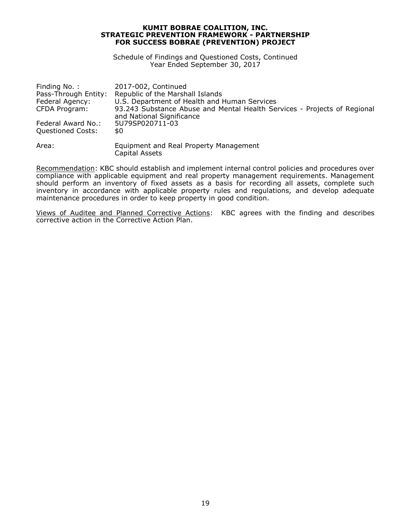Schedule of Findings and Questioned Costs, Continued Year Ended September 30, 2017

| Finding No.:<br>Pass-Through Entity:<br>Federal Agency:<br>CFDA Program: | 2017-002, Continued<br>Republic of the Marshall Islands<br>U.S. Department of Health and Human Services<br>93.243 Substance Abuse and Mental Health Services - Projects of Regional |
|--------------------------------------------------------------------------|-------------------------------------------------------------------------------------------------------------------------------------------------------------------------------------|
| Federal Award No.:<br><b>Questioned Costs:</b>                           | and National Significance<br>5U79SP020711-03<br>\$0                                                                                                                                 |
| Area:                                                                    | Equipment and Real Property Management<br>Capital Assets                                                                                                                            |

Recommendation: KBC should establish and implement internal control policies and procedures over compliance with applicable equipment and real property management requirements. Management should perform an inventory of fixed assets as a basis for recording all assets, complete such inventory in accordance with applicable property rules and regulations, and develop adequate maintenance procedures in order to keep property in good condition.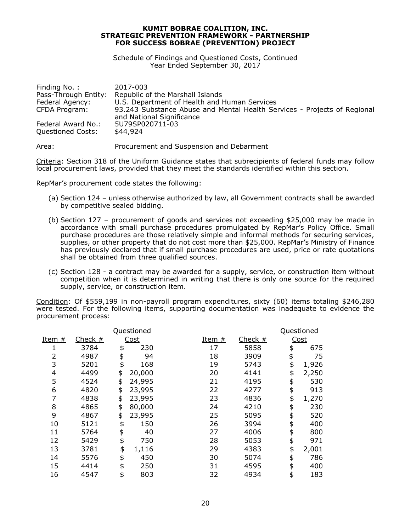Schedule of Findings and Questioned Costs, Continued Year Ended September 30, 2017

| Finding No.:         | 2017-003                                                                                              |
|----------------------|-------------------------------------------------------------------------------------------------------|
| Pass-Through Entity: | Republic of the Marshall Islands                                                                      |
| Federal Agency:      | U.S. Department of Health and Human Services                                                          |
| CFDA Program:        | 93.243 Substance Abuse and Mental Health Services - Projects of Regional<br>and National Significance |
| Federal Award No.:   | 5U79SP020711-03                                                                                       |
| Questioned Costs:    | \$44,924                                                                                              |

Area: Procurement and Suspension and Debarment

Criteria: Section 318 of the Uniform Guidance states that subrecipients of federal funds may follow local procurement laws, provided that they meet the standards identified within this section.

RepMar's procurement code states the following:

- (a) Section 124 unless otherwise authorized by law, all Government contracts shall be awarded by competitive sealed bidding.
- (b) Section 127 procurement of goods and services not exceeding \$25,000 may be made in accordance with small purchase procedures promulgated by RepMar's Policy Office. Small purchase procedures are those relatively simple and informal methods for securing services, supplies, or other property that do not cost more than \$25,000. RepMar's Ministry of Finance has previously declared that if small purchase procedures are used, price or rate quotations shall be obtained from three qualified sources.
- (c) Section 128 a contract may be awarded for a supply, service, or construction item without competition when it is determined in writing that there is only one source for the required supply, service, or construction item.

Condition: Of \$559,199 in non-payroll program expenditures, sixty (60) items totaling \$246,280 were tested. For the following items, supporting documentation was inadequate to evidence the procurement process:

| <b>Questioned</b> |    |        |      |               |           | Questioned  |
|-------------------|----|--------|------|---------------|-----------|-------------|
| Check $#$         |    |        |      | <u>Item #</u> | Check $#$ | Cost        |
| 3784              | \$ | 230    |      | 17            | 5858      | \$<br>675   |
| 4987              | \$ | 94     |      | 18            | 3909      | \$<br>75    |
| 5201              | \$ | 168    |      | 19            | 5743      | \$<br>1,926 |
| 4499              | \$ | 20,000 |      | 20            | 4141      | \$<br>2,250 |
| 4524              | \$ | 24,995 |      | 21            | 4195      | \$<br>530   |
| 4820              | \$ | 23,995 |      | 22            | 4277      | \$<br>913   |
| 4838              | \$ | 23,995 |      | 23            | 4836      | \$<br>1,270 |
| 4865              | \$ | 80,000 |      | 24            | 4210      | \$<br>230   |
| 4867              | \$ | 23,995 |      | 25            | 5095      | \$<br>520   |
| 5121              | \$ | 150    |      | 26            | 3994      | \$<br>400   |
| 5764              | \$ | 40     |      | 27            | 4006      | \$<br>800   |
| 5429              | \$ | 750    |      | 28            | 5053      | \$<br>971   |
| 3781              | \$ | 1,116  |      | 29            | 4383      | \$<br>2,001 |
| 5576              | \$ | 450    |      | 30            | 5074      | \$<br>786   |
| 4414              | \$ | 250    |      | 31            | 4595      | \$<br>400   |
| 4547              | \$ | 803    |      | 32            | 4934      | \$<br>183   |
|                   |    |        | Cost |               |           |             |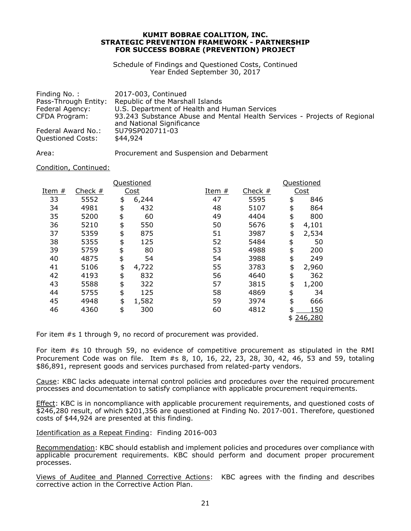Schedule of Findings and Questioned Costs, Continued Year Ended September 30, 2017

| Finding No.:         | 2017-003, Continued                                                                                   |
|----------------------|-------------------------------------------------------------------------------------------------------|
| Pass-Through Entity: | Republic of the Marshall Islands                                                                      |
| Federal Agency:      | U.S. Department of Health and Human Services                                                          |
| CFDA Program:        | 93.243 Substance Abuse and Mental Health Services - Projects of Regional<br>and National Significance |
| Federal Award No.:   | 5U79SP020711-03                                                                                       |
| Questioned Costs:    | \$44,924                                                                                              |
|                      |                                                                                                       |

Area: Procurement and Suspension and Debarment

Condition, Continued:

|          |           | Questioned  |          |           | Questioned    |
|----------|-----------|-------------|----------|-----------|---------------|
| Item $#$ | Check $#$ | Cost        | Item $#$ | Check $#$ | Cost          |
| 33       | 5552      | \$<br>6,244 | 47       | 5595      | \$<br>846     |
| 34       | 4981      | \$<br>432   | 48       | 5107      | \$<br>864     |
| 35       | 5200      | \$<br>60    | 49       | 4404      | \$<br>800     |
| 36       | 5210      | \$<br>550   | 50       | 5676      | \$<br>4,101   |
| 37       | 5359      | \$<br>875   | 51       | 3987      | \$<br>2,534   |
| 38       | 5355      | \$<br>125   | 52       | 5484      | \$<br>50      |
| 39       | 5759      | \$<br>80    | 53       | 4988      | \$<br>200     |
| 40       | 4875      | \$<br>54    | 54       | 3988      | \$<br>249     |
| 41       | 5106      | \$<br>4,722 | 55       | 3783      | \$<br>2,960   |
| 42       | 4193      | \$<br>832   | 56       | 4640      | \$<br>362     |
| 43       | 5588      | \$<br>322   | 57       | 3815      | \$<br>1,200   |
| 44       | 5755      | \$<br>125   | 58       | 4869      | \$<br>34      |
| 45       | 4948      | \$<br>1,582 | 59       | 3974      | \$<br>666     |
| 46       | 4360      | \$<br>300   | 60       | 4812      | \$<br>150     |
|          |           |             |          |           | \$<br>246,280 |

For item #s 1 through 9, no record of procurement was provided.

For item #s 10 through 59, no evidence of competitive procurement as stipulated in the RMI Procurement Code was on file. Item #s 8, 10, 16, 22, 23, 28, 30, 42, 46, 53 and 59, totaling \$86,891, represent goods and services purchased from related-party vendors.

Cause: KBC lacks adequate internal control policies and procedures over the required procurement processes and documentation to satisfy compliance with applicable procurement requirements.

Effect: KBC is in noncompliance with applicable procurement requirements, and questioned costs of \$246,280 result, of which \$201,356 are questioned at Finding No. 2017-001. Therefore, questioned costs of \$44,924 are presented at this finding.

Identification as a Repeat Finding: Finding 2016-003

Recommendation: KBC should establish and implement policies and procedures over compliance with applicable procurement requirements. KBC should perform and document proper procurement processes.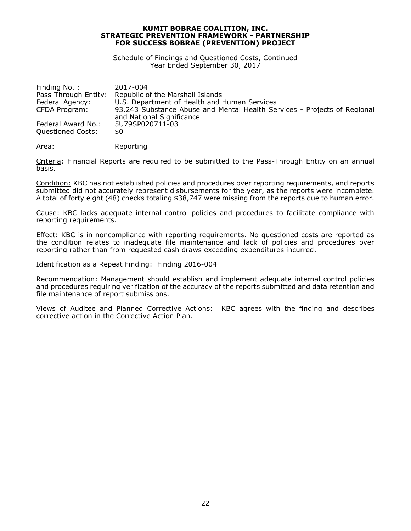Schedule of Findings and Questioned Costs, Continued Year Ended September 30, 2017

| Finding No.:<br>Pass-Through Entity: | 2017-004<br>Republic of the Marshall Islands                                                          |
|--------------------------------------|-------------------------------------------------------------------------------------------------------|
| Federal Agency:                      | U.S. Department of Health and Human Services                                                          |
| CFDA Program:                        | 93.243 Substance Abuse and Mental Health Services - Projects of Regional<br>and National Significance |
| Federal Award No.:                   | 5U79SP020711-03                                                                                       |
| <b>Questioned Costs:</b>             | \$0                                                                                                   |

Area: Reporting

Criteria: Financial Reports are required to be submitted to the Pass-Through Entity on an annual basis.

Condition: KBC has not established policies and procedures over reporting requirements, and reports submitted did not accurately represent disbursements for the year, as the reports were incomplete. A total of forty eight (48) checks totaling \$38,747 were missing from the reports due to human error.

Cause: KBC lacks adequate internal control policies and procedures to facilitate compliance with reporting requirements.

Effect: KBC is in noncompliance with reporting requirements. No questioned costs are reported as the condition relates to inadequate file maintenance and lack of policies and procedures over reporting rather than from requested cash draws exceeding expenditures incurred.

Identification as a Repeat Finding: Finding 2016-004

Recommendation: Management should establish and implement adequate internal control policies and procedures requiring verification of the accuracy of the reports submitted and data retention and file maintenance of report submissions.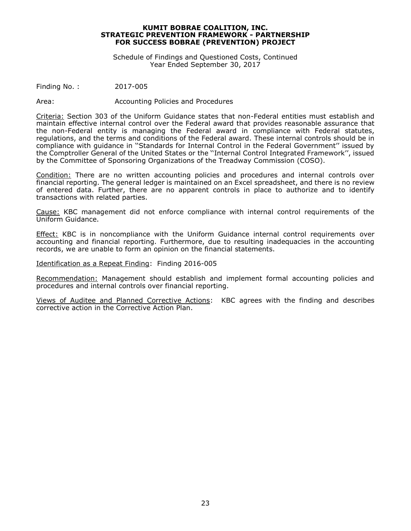Schedule of Findings and Questioned Costs, Continued Year Ended September 30, 2017

Finding No. : 2017-005

Area: Accounting Policies and Procedures

Criteria: Section 303 of the Uniform Guidance states that non-Federal entities must establish and maintain effective internal control over the Federal award that provides reasonable assurance that the non-Federal entity is managing the Federal award in compliance with Federal statutes, regulations, and the terms and conditions of the Federal award. These internal controls should be in compliance with guidance in ''Standards for Internal Control in the Federal Government'' issued by the Comptroller General of the United States or the ''Internal Control Integrated Framework'', issued by the Committee of Sponsoring Organizations of the Treadway Commission (COSO).

Condition: There are no written accounting policies and procedures and internal controls over financial reporting. The general ledger is maintained on an Excel spreadsheet, and there is no review of entered data. Further, there are no apparent controls in place to authorize and to identify transactions with related parties.

Cause: KBC management did not enforce compliance with internal control requirements of the Uniform Guidance.

Effect: KBC is in noncompliance with the Uniform Guidance internal control requirements over accounting and financial reporting. Furthermore, due to resulting inadequacies in the accounting records, we are unable to form an opinion on the financial statements.

Identification as a Repeat Finding: Finding 2016-005

Recommendation: Management should establish and implement formal accounting policies and procedures and internal controls over financial reporting.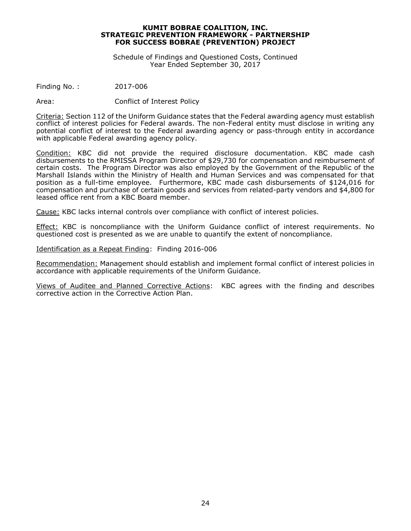Schedule of Findings and Questioned Costs, Continued Year Ended September 30, 2017

Finding No. : 2017-006

Area: Conflict of Interest Policy

Criteria: Section 112 of the Uniform Guidance states that the Federal awarding agency must establish conflict of interest policies for Federal awards. The non-Federal entity must disclose in writing any potential conflict of interest to the Federal awarding agency or pass-through entity in accordance with applicable Federal awarding agency policy.

Condition: KBC did not provide the required disclosure documentation. KBC made cash disbursements to the RMISSA Program Director of \$29,730 for compensation and reimbursement of certain costs. The Program Director was also employed by the Government of the Republic of the Marshall Islands within the Ministry of Health and Human Services and was compensated for that position as a full-time employee. Furthermore, KBC made cash disbursements of \$124,016 for compensation and purchase of certain goods and services from related-party vendors and \$4,800 for leased office rent from a KBC Board member.

Cause: KBC lacks internal controls over compliance with conflict of interest policies.

Effect: KBC is noncompliance with the Uniform Guidance conflict of interest requirements. No questioned cost is presented as we are unable to quantify the extent of noncompliance.

Identification as a Repeat Finding: Finding 2016-006

Recommendation: Management should establish and implement formal conflict of interest policies in accordance with applicable requirements of the Uniform Guidance.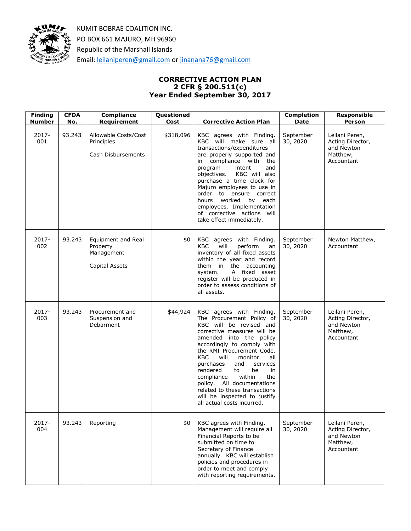

### **CORRECTIVE ACTION PLAN 2 CFR § 200.511(c) Year Ended September 30, 2017**

| <b>Finding</b><br><b>Number</b> | <b>CFDA</b><br>No. | Compliance<br>Requirement                                      | Questioned<br>Cost | <b>Corrective Action Plan</b>                                                                                                                                                                                                                                                                                                                                                                                                                                            | <b>Completion</b><br><b>Date</b> | <b>Responsible</b><br>Person                                               |
|---------------------------------|--------------------|----------------------------------------------------------------|--------------------|--------------------------------------------------------------------------------------------------------------------------------------------------------------------------------------------------------------------------------------------------------------------------------------------------------------------------------------------------------------------------------------------------------------------------------------------------------------------------|----------------------------------|----------------------------------------------------------------------------|
| $2017 -$<br>001                 | 93.243             | Allowable Costs/Cost<br>Principles<br>Cash Disbursements       | \$318,096          | KBC agrees with Finding.<br>KBC will make sure all<br>transactions/expenditures<br>are properly supported and<br>in compliance with<br>the<br>program<br>intent<br>and<br>objectives.<br>KBC will also<br>purchase a time clock for<br>Majuro employees to use in<br>order to ensure correct<br>hours<br>worked<br>by each<br>employees. Implementation<br>of corrective actions will<br>take effect immediately.                                                        | September<br>30, 2020            | Leilani Peren,<br>Acting Director,<br>and Newton<br>Matthew,<br>Accountant |
| $2017 -$<br>002                 | 93.243             | Equipment and Real<br>Property<br>Management<br>Capital Assets | \$0                | KBC agrees with Finding.<br>KBC<br>will<br>perform<br>an<br>inventory of all fixed assets<br>within the year and record<br>them in the accounting<br>A fixed asset<br>system.<br>register will be produced in<br>order to assess conditions of<br>all assets.                                                                                                                                                                                                            | September<br>30, 2020            | Newton Matthew,<br>Accountant                                              |
| 2017-<br>003                    | 93.243             | Procurement and<br>Suspension and<br>Debarment                 | \$44,924           | KBC agrees with Finding.<br>The Procurement Policy of<br>KBC will be revised and<br>corrective measures will be<br>amended into the policy<br>accordingly to comply with<br>the RMI Procurement Code.<br><b>KBC</b><br>will<br>monitor<br>all<br>purchases<br>and<br>services<br>rendered<br>be<br>to<br>in.<br>within<br>compliance<br>the<br>policy. All documentations<br>related to these transactions<br>will be inspected to justify<br>all actual costs incurred. | September<br>30, 2020            | Leilani Peren,<br>Acting Director,<br>and Newton<br>Matthew,<br>Accountant |
| 2017-<br>004                    | 93.243             | Reporting                                                      | \$0                | KBC agrees with Finding.<br>Management will require all<br>Financial Reports to be<br>submitted on time to<br>Secretary of Finance<br>annually. KBC will establish<br>policies and procedures in<br>order to meet and comply<br>with reporting requirements.                                                                                                                                                                                                             | September<br>30, 2020            | Leilani Peren,<br>Acting Director,<br>and Newton<br>Matthew,<br>Accountant |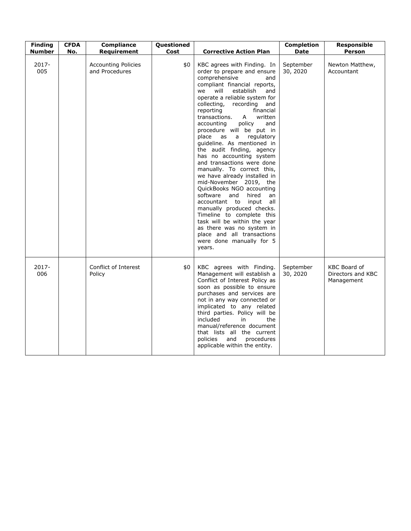| <b>Finding</b><br><b>Number</b> | <b>CFDA</b><br>No. | <b>Compliance</b><br>Requirement             | Questioned<br>Cost | <b>Corrective Action Plan</b>                                                                                                                                                                                                                                                                                                                                                                                                                                                                                                                                                                                                                                                                                                                                                                                                                                                | <b>Completion</b><br><b>Date</b> | <b>Responsible</b><br><b>Person</b>             |
|---------------------------------|--------------------|----------------------------------------------|--------------------|------------------------------------------------------------------------------------------------------------------------------------------------------------------------------------------------------------------------------------------------------------------------------------------------------------------------------------------------------------------------------------------------------------------------------------------------------------------------------------------------------------------------------------------------------------------------------------------------------------------------------------------------------------------------------------------------------------------------------------------------------------------------------------------------------------------------------------------------------------------------------|----------------------------------|-------------------------------------------------|
| $2017 -$<br>005                 |                    | <b>Accounting Policies</b><br>and Procedures | \$0                | KBC agrees with Finding. In<br>order to prepare and ensure<br>comprehensive<br>and<br>compliant financial reports,<br>establish<br>will<br>we<br>and<br>operate a reliable system for<br>collecting, recording<br>and<br>reporting<br>financial<br>transactions.<br>written<br>A<br>policy<br>accounting<br>and<br>procedure will be put in<br>place as a regulatory<br>guideline. As mentioned in<br>the audit finding, agency<br>has no accounting system<br>and transactions were done<br>manually. To correct this,<br>we have already installed in<br>mid-November 2019, the<br>QuickBooks NGO accounting<br>hired<br>software<br>and<br>an<br>all<br>accountant to<br>input<br>manually produced checks.<br>Timeline to complete this<br>task will be within the year<br>as there was no system in<br>place and all transactions<br>were done manually for 5<br>years. | September<br>30, 2020            | Newton Matthew,<br>Accountant                   |
| 2017-<br>006                    |                    | Conflict of Interest<br>Policy               | \$0                | KBC agrees with Finding.<br>Management will establish a<br>Conflict of Interest Policy as<br>soon as possible to ensure<br>purchases and services are<br>not in any way connected or<br>implicated to any related<br>third parties. Policy will be<br>included<br>the<br>in<br>manual/reference document<br>that lists all the current<br>policies<br>and<br>procedures<br>applicable within the entity.                                                                                                                                                                                                                                                                                                                                                                                                                                                                     | September<br>30, 2020            | KBC Board of<br>Directors and KBC<br>Management |